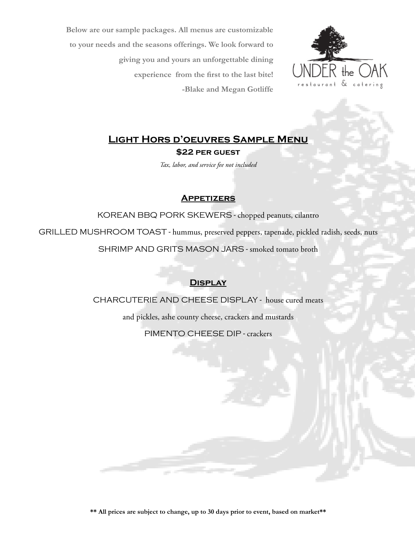**Below are our sample packages. All menus are customizable to your needs and the seasons offerings. We look forward to giving you and yours an unforgettable dining experience from the first to the last bite! -Blake and Megan Gotliffe**



# **Light Hors d'oeuvres Sample Menu \$22 per guest**

*Tax, labor, and service fee not included*

### **Appetizers**

KOREAN BBQ PORK SKEWERS - chopped peanuts, cilantro

GRILLED MUSHROOM TOAST - hummus, preserved peppers, tapenade, pickled radish, seeds, nuts SHRIMP AND GRITS MASON JARS - smoked tomato broth

## **Display**

CHARCUTERIE AND CHEESE DISPLAY - house cured meats

and pickles, ashe county cheese, crackers and mustards

PIMENTO CHEESE DIP - crackers

**\*\* All prices are subject to change, up to 30 days prior to event, based on market\*\***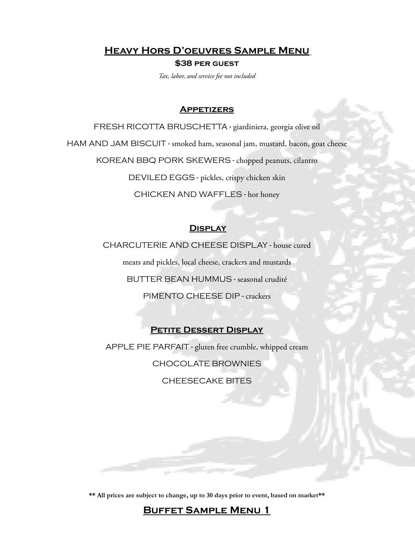**Heavy Hors D'oeuvres Sample Menu**

**\$38 per guest** 

*Tax, labor, and service fee not included*

### **Appetizers**

FRESH RICOTTA BRUSCHETTA - giardiniera, georgia olive oil HAM AND JAM BISCUIT - smoked ham, seasonal jam, mustard, bacon, goat cheese KOREAN BBQ PORK SKEWERS - chopped peanuts, cilantro DEVILED EGGS - pickles, crispy chicken skin CHICKEN AND WAFFLES - hot honey

### **Display**

CHARCUTERIE AND CHEESE DISPLAY - house cured meats and pickles, local cheese, crackers and mustards BUTTER BEAN HUMMUS - seasonal crudité PIMENTO CHEESE DIP - crackers

### **Petite Dessert Display**

APPLE PIE PARFAIT - gluten free crumble, whipped cream CHOCOLATE BROWNIES CHEESECAKE BITES

**\*\* All prices are subject to change, up to 30 days prior to event, based on market\*\***

**Buffet Sample Menu 1**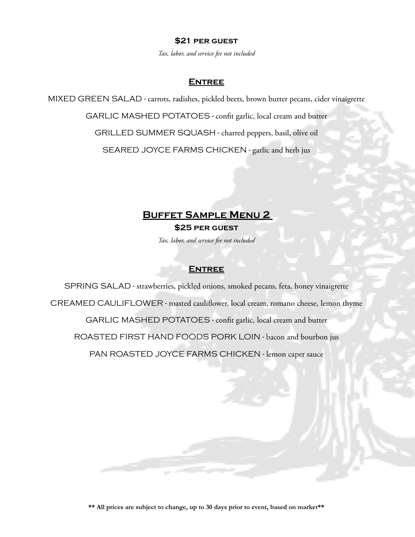#### **\$21 per guest**

*Tax, labor, and service fee not included*

### **Entree**

MIXED GREEN SALAD - carrots, radishes, pickled beets, brown butter pecans, cider vinaigrette GARLIC MASHED POTATOES - confit garlic, local cream and butter GRILLED SUMMER SQUASH - charred peppers, basil, olive oil SEARED JOYCE FARMS CHICKEN - garlic and herb jus

## **Buffet Sample Menu 2**

**\$25 per guest** *Tax, labor, and service fee not included*

### **Entree**

SPRING SALAD - strawberries, pickled onions, smoked pecans, feta, honey vinaigrette CREAMED CAULIFLOWER - roasted cauliflower, local cream, romano cheese, lemon thyme GARLIC MASHED POTATOES - confit garlic, local cream and butter ROASTED FIRST HAND FOODS PORK LOIN - bacon and bourbon jus PAN ROASTED JOYCE FARMS CHICKEN - lemon caper sauce

**\*\* All prices are subject to change, up to 30 days prior to event, based on market\*\***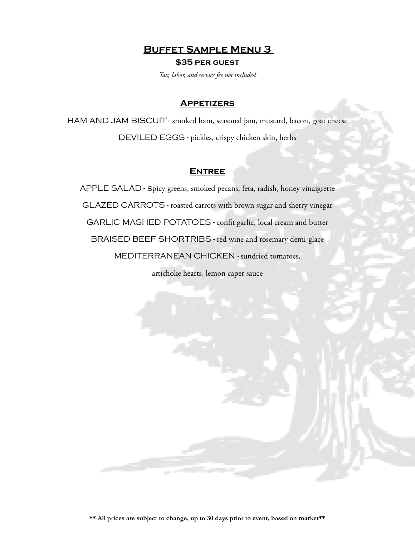**Buffet Sample Menu 3** 

**\$35 per guest**

*Tax, labor, and service fee not included*

#### **Appetizers**

HAM AND JAM BISCUIT - smoked ham, seasonal jam, mustard, bacon, goat cheese DEVILED EGGS - pickles, crispy chicken skin, herbs

### **Entree**

APPLE SALAD - spicy greens, smoked pecans, feta, radish, honey vinaigrette GLAZED CARROTS - roasted carrots with brown sugar and sherry vinegar GARLIC MASHED POTATOES - confit garlic, local cream and butter BRAISED BEEF SHORTRIBS - red wine and rosemary demi-glace MEDITERRANEAN CHICKEN - sundried tomatoes,

artichoke hearts, lemon caper sauce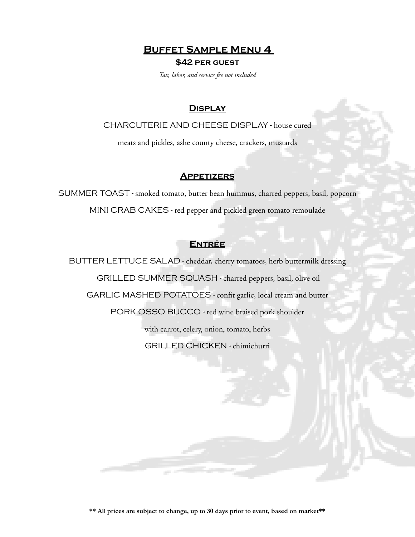**Buffet Sample Menu 4** 

#### **\$42 per guest**

*Tax, labor, and service fee not included*

### **Display**

CHARCUTERIE AND CHEESE DISPLAY - house cured

meats and pickles, ashe county cheese, crackers, mustards

### **Appetizers**

SUMMER TOAST - smoked tomato, butter bean hummus, charred peppers, basil, popcorn MINI CRAB CAKES - red pepper and pickled green tomato remoulade

## **Entrée**

BUTTER LETTUCE SALAD - cheddar, cherry tomatoes, herb buttermilk dressing GRILLED SUMMER SQUASH - charred peppers, basil, olive oil GARLIC MASHED POTATOES - confit garlic, local cream and butter PORK OSSO BUCCO - red wine braised pork shoulder with carrot, celery, onion, tomato, herbs GRILLED CHICKEN - chimichurri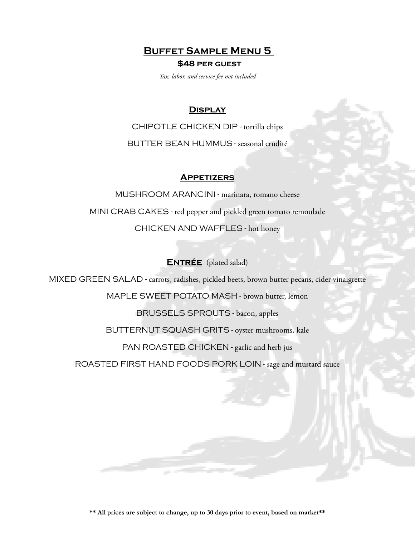**Buffet Sample Menu 5** 

#### **\$48 per guest**

*Tax, labor, and service fee not included*

### **Display**

CHIPOTLE CHICKEN DIP - tortilla chips BUTTER BEAN HUMMUS - seasonal crudité

### **Appetizers**

MUSHROOM ARANCINI - marinara, romano cheese MINI CRAB CAKES - red pepper and pickled green tomato remoulade CHICKEN AND WAFFLES - hot honey

## **ENTRÉE** (plated salad)

MIXED GREEN SALAD - carrots, radishes, pickled beets, brown butter pecans, cider vinaigrette

MAPLE SWEET POTATO MASH - brown butter, lemon

BRUSSELS SPROUTS - bacon, apples

BUTTERNUT SQUASH GRITS - oyster mushrooms, kale

PAN ROASTED CHICKEN - garlic and herb jus

ROASTED FIRST HAND FOODS PORK LOIN - sage and mustard sauce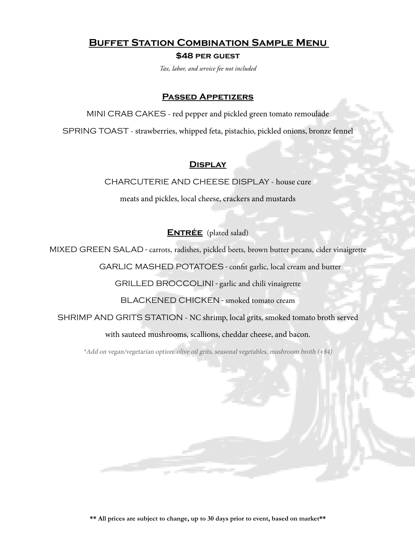## **Buffet Station Combination Sample Menu**

**\$48 per guest**

*Tax, labor, and service fee not included*

### **Passed Appetizers**

MINI CRAB CAKES - red pepper and pickled green tomato remoulade

SPRING TOAST - strawberries, whipped feta, pistachio, pickled onions, bronze fennel

## **Display**

CHARCUTERIE AND CHEESE DISPLAY - house cure

meats and pickles, local cheese, crackers and mustards

**ENTRÉE** (plated salad)

MIXED GREEN SALAD - carrots, radishes, pickled beets, brown butter pecans, cider vinaigrette

GARLIC MASHED POTATOES - confit garlic, local cream and butter

GRILLED BROCCOLINI - garlic and chili vinaigrette

BLACKENED CHICKEN - smoked tomato cream

SHRIMP AND GRITS STATION - NC shrimp, local grits, smoked tomato broth served

with sauteed mushrooms, scallions, cheddar cheese, and bacon.

\*Add on vegan/vegetarian option: olive oil grits, seasonal vegetables, mushroom broth (+\$4)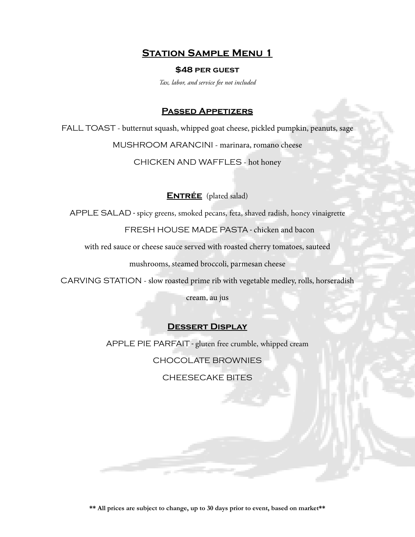## **Station Sample Menu 1**

#### **\$48 per guest**

*Tax, labor, and service fee not included*

#### **Passed Appetizers**

FALL TOAST - butternut squash, whipped goat cheese, pickled pumpkin, peanuts, sage MUSHROOM ARANCINI - marinara, romano cheese

CHICKEN AND WAFFLES - hot honey

### **ENTRÉE** (plated salad)

APPLE SALAD - spicy greens, smoked pecans, feta, shaved radish, honey vinaigrette

FRESH HOUSE MADE PASTA - chicken and bacon

with red sauce or cheese sauce served with roasted cherry tomatoes, sauteed

mushrooms, steamed broccoli, parmesan cheese

CARVING STATION - slow roasted prime rib with vegetable medley, rolls, horseradish

cream, au jus

#### **Dessert Display**

APPLE PIE PARFAIT - gluten free crumble, whipped cream

CHOCOLATE BROWNIES

CHEESECAKE BITES

**\*\* All prices are subject to change, up to 30 days prior to event, based on market\*\***